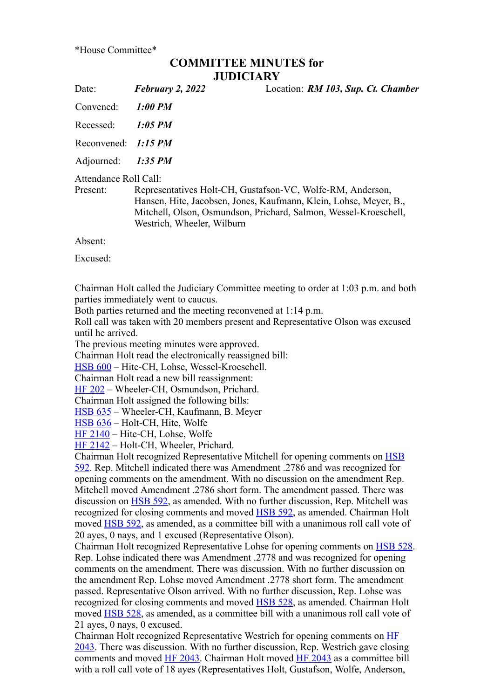\*House Committee\*

## **COMMITTEE MINUTES for JUDICIARY**

Date: *February 2, 2022* Location: *RM 103, Sup. Ct. Chamber*

Convened: *1:00 PM*

Recessed: *1:05 PM*

Reconvened: *1:15 PM*

Adjourned: *1:35 PM*

Attendance Roll Call:

Present: Representatives Holt-CH, Gustafson-VC, Wolfe-RM, Anderson, Hansen, Hite, Jacobsen, Jones, Kaufmann, Klein, Lohse, Meyer, B., Mitchell, Olson, Osmundson, Prichard, Salmon, Wessel-Kroeschell, Westrich, Wheeler, Wilburn

Absent:

Excused:

Chairman Holt called the Judiciary Committee meeting to order at 1:03 p.m. and both parties immediately went to caucus.

Both parties returned and the meeting reconvened at 1:14 p.m.

Roll call was taken with 20 members present and Representative Olson was excused until he arrived.

The previous meeting minutes were approved.

Chairman Holt read the electronically reassigned bill:

[HSB 600](https://www.legis.iowa.gov/legislation/BillBook?ga=89&ba=HSB600) – Hite-CH, Lohse, Wessel-Kroeschell.

Chairman Holt read a new bill reassignment:

[HF 202](https://www.legis.iowa.gov/legislation/BillBook?ga=89&ba=HF202) – Wheeler-CH, Osmundson, Prichard.

Chairman Holt assigned the following bills:

[HSB 635](https://www.legis.iowa.gov/legislation/BillBook?ga=89&ba=HSB635) – Wheeler-CH, Kaufmann, B. Meyer

[HSB 636](https://www.legis.iowa.gov/legislation/BillBook?ga=89&ba=HSB636) – Holt-CH, Hite, Wolfe

[HF 2140](https://www.legis.iowa.gov/legislation/BillBook?ga=89&ba=HF2140) – Hite-CH, Lohse, Wolfe

[HF 2142](https://www.legis.iowa.gov/legislation/BillBook?ga=89&ba=HF2142) – Holt-CH, Wheeler, Prichard.

[Chairman Holt recognized Representative Mitchell for opening comments on HSB](https://www.legis.iowa.gov/legislation/BillBook?ga=89&ba=HSB592) 592. Rep. Mitchell indicated there was Amendment .2786 and was recognized for opening comments on the amendment. With no discussion on the amendment Rep. Mitchell moved Amendment .2786 short form. The amendment passed. There was discussion on [HSB 592,](https://www.legis.iowa.gov/legislation/BillBook?ga=89&ba=HSB592) as amended. With no further discussion, Rep. Mitchell was recognized for closing comments and moved **HSB 592**, as amended. Chairman Holt moved [HSB 592](https://www.legis.iowa.gov/legislation/BillBook?ga=89&ba=HSB592), as amended, as a committee bill with a unanimous roll call vote of 20 ayes, 0 nays, and 1 excused (Representative Olson).

Chairman Holt recognized Representative Lohse for opening comments on [HSB 528](https://www.legis.iowa.gov/legislation/BillBook?ga=89&ba=HSB528). Rep. Lohse indicated there was Amendment .2778 and was recognized for opening comments on the amendment. There was discussion. With no further discussion on the amendment Rep. Lohse moved Amendment .2778 short form. The amendment passed. Representative Olson arrived. With no further discussion, Rep. Lohse was recognized for closing comments and moved **HSB 528**, as amended. Chairman Holt moved [HSB 528](https://www.legis.iowa.gov/legislation/BillBook?ga=89&ba=HSB528), as amended, as a committee bill with a unanimous roll call vote of 21 ayes, 0 nays, 0 excused.

Chairman Holt recognized Representative Westrich for opening comments on HF [2043. There was discussion. With no further discussion, Rep. Westrich gave closin](https://www.legis.iowa.gov/legislation/BillBook?ga=89&ba=HF2043)g comments and moved [HF 2043.](https://www.legis.iowa.gov/legislation/BillBook?ga=89&ba=HF2043) Chairman Holt moved [HF 2043](https://www.legis.iowa.gov/legislation/BillBook?ga=89&ba=HF2043) as a committee bill with a roll call vote of 18 ayes (Representatives Holt, Gustafson, Wolfe, Anderson,